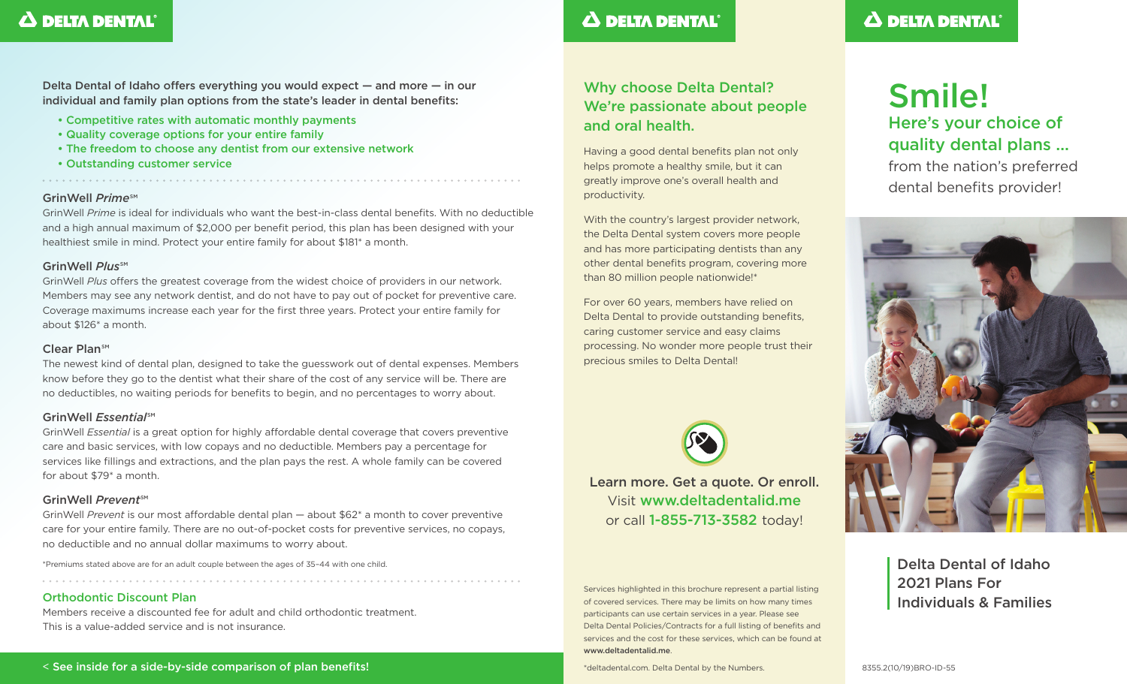## $\Delta$  DELTA DENTAL<sup>®</sup>

Delta Dental of Idaho offers everything you would expect — and more — in our individual and family plan options from the state's leader in dental benefits:

- Competitive rates with automatic monthly payments
- Quality coverage options for your entire family
- The freedom to choose any dentist from our extensive network
- Outstanding customer service

### GrinWell *Prime*<sup>SM</sup>

GrinWell *Prime* is ideal for individuals who want the best-in-class dental benefits. With no deductible and a high annual maximum of \$2,000 per benefit period, this plan has been designed with your healthiest smile in mind. Protect your entire family for about \$181\* a month.

### GrinWell *Plus<sup>sM</sup>*

GrinWell *Plus* offers the greatest coverage from the widest choice of providers in our network. Members may see any network dentist, and do not have to pay out of pocket for preventive care. Coverage maximums increase each year for the first three years. Protect your entire family for about \$126\* a month.

### $C$ lear PlansM

The newest kind of dental plan, designed to take the guesswork out of dental expenses. Members know before they go to the dentist what their share of the cost of any service will be. There are no deductibles, no waiting periods for benefits to begin, and no percentages to worry about.

### GrinWell *Essential*<sup>SM</sup>

GrinWell *Essential* is a great option for highly affordable dental coverage that covers preventive care and basic services, with low copays and no deductible. Members pay a percentage for services like fillings and extractions, and the plan pays the rest. A whole family can be covered for about \$79\* a month.

### GrinWell Prevent<sup>SM</sup>

GrinWell *Prevent* is our most affordable dental plan — about \$62\* a month to cover preventive care for your entire family. There are no out-of-pocket costs for preventive services, no copays, no deductible and no annual dollar maximums to worry about.

\*Premiums stated above are for an adult couple between the ages of 35–44 with one child.

### Orthodontic Discount Plan

Members receive a discounted fee for adult and child orthodontic treatment. This is a value-added service and is not insurance.

## $\Delta$  DELTA DENTAL

### Why choose Delta Dental? We're passionate about people and oral health.

Having a good dental benefits plan not only helps promote a healthy smile, but it can greatly improve one's overall health and productivity.

With the country's largest provider network, the Delta Dental system covers more people and has more participating dentists than any other dental benefits program, covering more than 80 million people nationwide!\*

For over 60 years, members have relied on Delta Dental to provide outstanding benefits, caring customer service and easy claims processing. No wonder more people trust their precious smiles to Delta Dental!



Learn more. Get a quote. Or enroll. Visit www.deltadentalid.me or call 1-855-713-3582 today!

Services highlighted in this brochure represent a partial listing of covered services. There may be limits on how many times participants can use certain services in a year. Please see Delta Dental Policies/Contracts for a full listing of benefits and services and the cost for these services, which can be found at www.deltadentalid.me.

\*deltadental.com. Delta Dental by the Numbers.

## $\Delta$  DELTA DENTAL<sup>®</sup>

# Smile! Here's your choice of quality dental plans …

from the nation's preferred dental benefits provider!



Delta Dental of Idaho 2021 Plans For Individuals & Families